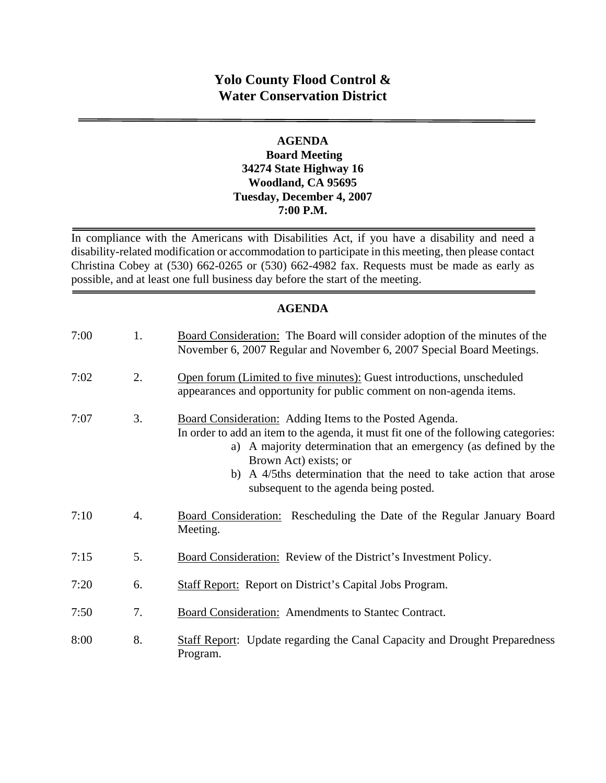# **Yolo County Flood Control & Water Conservation District**

#### **AGENDA Board Meeting 34274 State Highway 16 Woodland, CA 95695 Tuesday, December 4, 2007 7:00 P.M.**

In compliance with the Americans with Disabilities Act, if you have a disability and need a disability-related modification or accommodation to participate in this meeting, then please contact Christina Cobey at (530) 662-0265 or (530) 662-4982 fax. Requests must be made as early as possible, and at least one full business day before the start of the meeting.

### **AGENDA**

| 7:00 | 1.               | Board Consideration: The Board will consider adoption of the minutes of the<br>November 6, 2007 Regular and November 6, 2007 Special Board Meetings.                                                                                                                                                                                                       |
|------|------------------|------------------------------------------------------------------------------------------------------------------------------------------------------------------------------------------------------------------------------------------------------------------------------------------------------------------------------------------------------------|
| 7:02 | 2.               | Open forum (Limited to five minutes): Guest introductions, unscheduled<br>appearances and opportunity for public comment on non-agenda items.                                                                                                                                                                                                              |
| 7:07 | 3.               | Board Consideration: Adding Items to the Posted Agenda.<br>In order to add an item to the agenda, it must fit one of the following categories:<br>a) A majority determination that an emergency (as defined by the<br>Brown Act) exists; or<br>b) A 4/5ths determination that the need to take action that arose<br>subsequent to the agenda being posted. |
| 7:10 | $\overline{4}$ . | Board Consideration: Rescheduling the Date of the Regular January Board<br>Meeting.                                                                                                                                                                                                                                                                        |
| 7:15 | 5.               | Board Consideration: Review of the District's Investment Policy.                                                                                                                                                                                                                                                                                           |
| 7:20 | 6.               | <b>Staff Report:</b> Report on District's Capital Jobs Program.                                                                                                                                                                                                                                                                                            |
| 7:50 | 7.               | <b>Board Consideration:</b> Amendments to Stantec Contract.                                                                                                                                                                                                                                                                                                |
| 8:00 | 8.               | <b>Staff Report:</b> Update regarding the Canal Capacity and Drought Preparedness<br>Program.                                                                                                                                                                                                                                                              |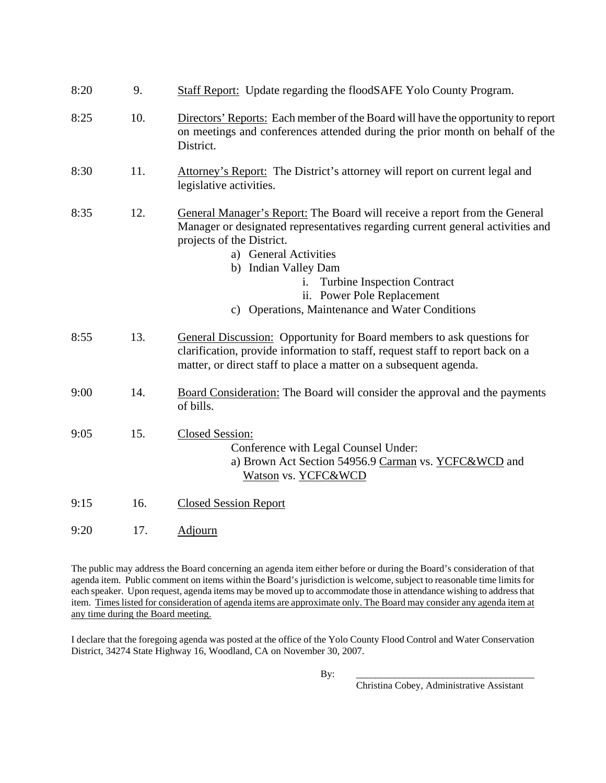| 8:20 | 9.  | <b>Staff Report:</b> Update regarding the floodSAFE Yolo County Program.                                                                                                                                                                                                                                                                                          |
|------|-----|-------------------------------------------------------------------------------------------------------------------------------------------------------------------------------------------------------------------------------------------------------------------------------------------------------------------------------------------------------------------|
| 8:25 | 10. | Directors' Reports: Each member of the Board will have the opportunity to report<br>on meetings and conferences attended during the prior month on behalf of the<br>District.                                                                                                                                                                                     |
| 8:30 | 11. | Attorney's Report: The District's attorney will report on current legal and<br>legislative activities.                                                                                                                                                                                                                                                            |
| 8:35 | 12. | General Manager's Report: The Board will receive a report from the General<br>Manager or designated representatives regarding current general activities and<br>projects of the District.<br>a) General Activities<br>b) Indian Valley Dam<br><b>Turbine Inspection Contract</b><br>ii. Power Pole Replacement<br>c) Operations, Maintenance and Water Conditions |
| 8:55 | 13. | General Discussion: Opportunity for Board members to ask questions for<br>clarification, provide information to staff, request staff to report back on a<br>matter, or direct staff to place a matter on a subsequent agenda.                                                                                                                                     |
| 9:00 | 14. | Board Consideration: The Board will consider the approval and the payments<br>of bills.                                                                                                                                                                                                                                                                           |
| 9:05 | 15. | <b>Closed Session:</b><br>Conference with Legal Counsel Under:<br>a) Brown Act Section 54956.9 Carman vs. YCFC&WCD and<br>Watson vs. YCFC&WCD                                                                                                                                                                                                                     |
| 9:15 | 16. | <b>Closed Session Report</b>                                                                                                                                                                                                                                                                                                                                      |
| 9:20 | 17. | <b>Adjourn</b>                                                                                                                                                                                                                                                                                                                                                    |
|      |     |                                                                                                                                                                                                                                                                                                                                                                   |

The public may address the Board concerning an agenda item either before or during the Board's consideration of that agenda item. Public comment on items within the Board's jurisdiction is welcome, subject to reasonable time limits for each speaker. Upon request, agenda items may be moved up to accommodate those in attendance wishing to address that item. Times listed for consideration of agenda items are approximate only. The Board may consider any agenda item at any time during the Board meeting.

I declare that the foregoing agenda was posted at the office of the Yolo County Flood Control and Water Conservation District, 34274 State Highway 16, Woodland, CA on November 30, 2007.

By: \_\_\_\_\_\_\_\_\_\_\_\_\_\_\_\_\_\_\_\_\_\_\_\_\_\_\_\_\_\_\_\_\_\_\_\_\_

Christina Cobey, Administrative Assistant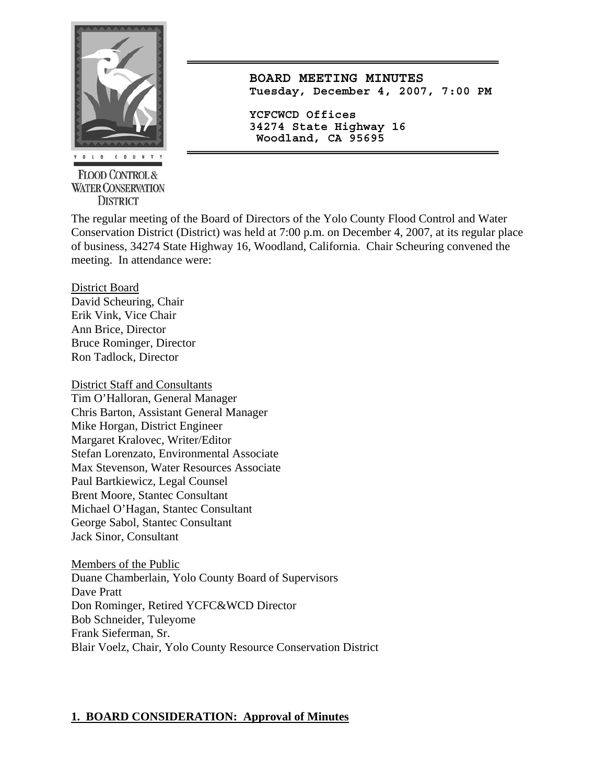

**FLOOD CONTROL & WATER CONSERVATION DISTRICT** 

**BOARD MEETING MINUTES Tuesday, December 4, 2007, 7:00 PM**

**YCFCWCD Offices 34274 State Highway 16 Woodland, CA 95695** 

The regular meeting of the Board of Directors of the Yolo County Flood Control and Water Conservation District (District) was held at 7:00 p.m. on December 4, 2007, at its regular place of business, 34274 State Highway 16, Woodland, California. Chair Scheuring convened the meeting. In attendance were:

District Board

David Scheuring, Chair Erik Vink, Vice Chair Ann Brice, Director Bruce Rominger, Director Ron Tadlock, Director

District Staff and Consultants Tim O'Halloran, General Manager Chris Barton, Assistant General Manager Mike Horgan, District Engineer Margaret Kralovec, Writer/Editor Stefan Lorenzato, Environmental Associate Max Stevenson, Water Resources Associate Paul Bartkiewicz, Legal Counsel Brent Moore, Stantec Consultant Michael O'Hagan, Stantec Consultant George Sabol, Stantec Consultant Jack Sinor, Consultant

Members of the Public Duane Chamberlain, Yolo County Board of Supervisors Dave Pratt Don Rominger, Retired YCFC&WCD Director Bob Schneider, Tuleyome Frank Sieferman, Sr. Blair Voelz, Chair, Yolo County Resource Conservation District

### **1. BOARD CONSIDERATION: Approval of Minutes**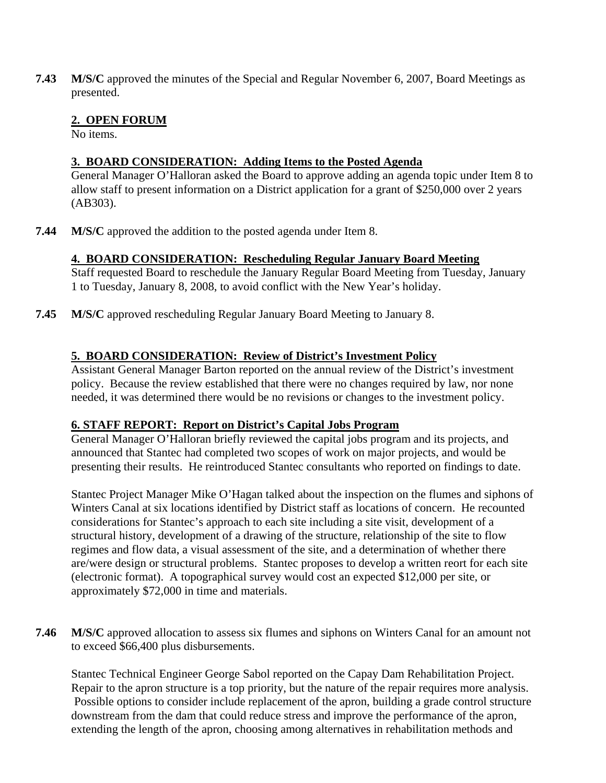**7.43 M/S/C** approved the minutes of the Special and Regular November 6, 2007, Board Meetings as presented.

### **2. OPEN FORUM**

No items.

### **3. BOARD CONSIDERATION: Adding Items to the Posted Agenda**

General Manager O'Halloran asked the Board to approve adding an agenda topic under Item 8 to allow staff to present information on a District application for a grant of \$250,000 over 2 years (AB303).

**7.44 M/S/C** approved the addition to the posted agenda under Item 8.

### **4. BOARD CONSIDERATION: Rescheduling Regular January Board Meeting**

Staff requested Board to reschedule the January Regular Board Meeting from Tuesday, January 1 to Tuesday, January 8, 2008, to avoid conflict with the New Year's holiday.

**7.45 M/S/C** approved rescheduling Regular January Board Meeting to January 8.

### **5. BOARD CONSIDERATION: Review of District's Investment Policy**

Assistant General Manager Barton reported on the annual review of the District's investment policy. Because the review established that there were no changes required by law, nor none needed, it was determined there would be no revisions or changes to the investment policy.

### **6. STAFF REPORT: Report on District's Capital Jobs Program**

General Manager O'Halloran briefly reviewed the capital jobs program and its projects, and announced that Stantec had completed two scopes of work on major projects, and would be presenting their results. He reintroduced Stantec consultants who reported on findings to date.

Stantec Project Manager Mike O'Hagan talked about the inspection on the flumes and siphons of Winters Canal at six locations identified by District staff as locations of concern. He recounted considerations for Stantec's approach to each site including a site visit, development of a structural history, development of a drawing of the structure, relationship of the site to flow regimes and flow data, a visual assessment of the site, and a determination of whether there are/were design or structural problems. Stantec proposes to develop a written reort for each site (electronic format). A topographical survey would cost an expected \$12,000 per site, or approximately \$72,000 in time and materials.

**7.46 M/S/C** approved allocation to assess six flumes and siphons on Winters Canal for an amount not to exceed \$66,400 plus disbursements.

Stantec Technical Engineer George Sabol reported on the Capay Dam Rehabilitation Project. Repair to the apron structure is a top priority, but the nature of the repair requires more analysis. Possible options to consider include replacement of the apron, building a grade control structure downstream from the dam that could reduce stress and improve the performance of the apron, extending the length of the apron, choosing among alternatives in rehabilitation methods and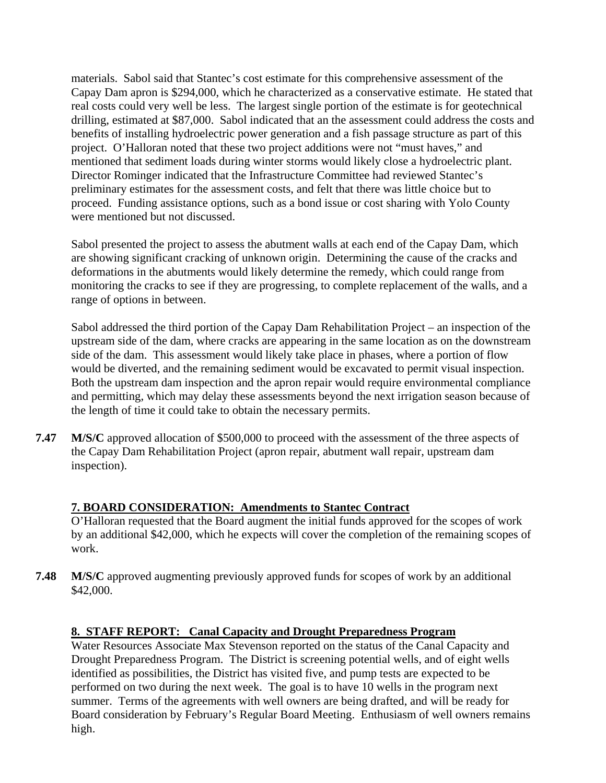materials. Sabol said that Stantec's cost estimate for this comprehensive assessment of the Capay Dam apron is \$294,000, which he characterized as a conservative estimate. He stated that real costs could very well be less. The largest single portion of the estimate is for geotechnical drilling, estimated at \$87,000. Sabol indicated that an the assessment could address the costs and benefits of installing hydroelectric power generation and a fish passage structure as part of this project. O'Halloran noted that these two project additions were not "must haves," and mentioned that sediment loads during winter storms would likely close a hydroelectric plant. Director Rominger indicated that the Infrastructure Committee had reviewed Stantec's preliminary estimates for the assessment costs, and felt that there was little choice but to proceed. Funding assistance options, such as a bond issue or cost sharing with Yolo County were mentioned but not discussed.

Sabol presented the project to assess the abutment walls at each end of the Capay Dam, which are showing significant cracking of unknown origin. Determining the cause of the cracks and deformations in the abutments would likely determine the remedy, which could range from monitoring the cracks to see if they are progressing, to complete replacement of the walls, and a range of options in between.

Sabol addressed the third portion of the Capay Dam Rehabilitation Project – an inspection of the upstream side of the dam, where cracks are appearing in the same location as on the downstream side of the dam. This assessment would likely take place in phases, where a portion of flow would be diverted, and the remaining sediment would be excavated to permit visual inspection. Both the upstream dam inspection and the apron repair would require environmental compliance and permitting, which may delay these assessments beyond the next irrigation season because of the length of time it could take to obtain the necessary permits.

**7.47 M/S/C** approved allocation of \$500,000 to proceed with the assessment of the three aspects of the Capay Dam Rehabilitation Project (apron repair, abutment wall repair, upstream dam inspection).

### **7. BOARD CONSIDERATION: Amendments to Stantec Contract**

O'Halloran requested that the Board augment the initial funds approved for the scopes of work by an additional \$42,000, which he expects will cover the completion of the remaining scopes of work.

**7.48 M/S/C** approved augmenting previously approved funds for scopes of work by an additional \$42,000.

# **8. STAFF REPORT: Canal Capacity and Drought Preparedness Program**

Water Resources Associate Max Stevenson reported on the status of the Canal Capacity and Drought Preparedness Program. The District is screening potential wells, and of eight wells identified as possibilities, the District has visited five, and pump tests are expected to be performed on two during the next week. The goal is to have 10 wells in the program next summer. Terms of the agreements with well owners are being drafted, and will be ready for Board consideration by February's Regular Board Meeting. Enthusiasm of well owners remains high.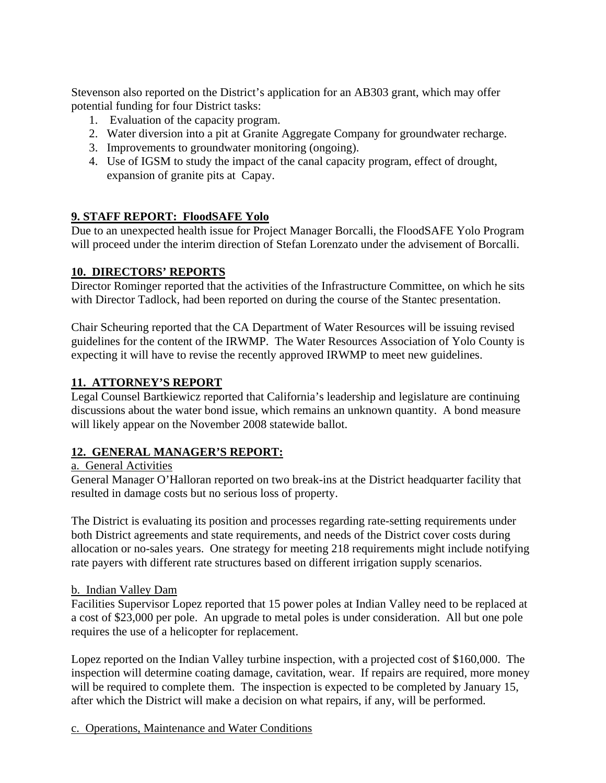Stevenson also reported on the District's application for an AB303 grant, which may offer potential funding for four District tasks:

- 1. Evaluation of the capacity program.
- 2. Water diversion into a pit at Granite Aggregate Company for groundwater recharge.
- 3. Improvements to groundwater monitoring (ongoing).
- 4. Use of IGSM to study the impact of the canal capacity program, effect of drought, expansion of granite pits at Capay.

### **9. STAFF REPORT: FloodSAFE Yolo**

Due to an unexpected health issue for Project Manager Borcalli, the FloodSAFE Yolo Program will proceed under the interim direction of Stefan Lorenzato under the advisement of Borcalli.

# **10. DIRECTORS' REPORTS**

Director Rominger reported that the activities of the Infrastructure Committee, on which he sits with Director Tadlock, had been reported on during the course of the Stantec presentation.

Chair Scheuring reported that the CA Department of Water Resources will be issuing revised guidelines for the content of the IRWMP. The Water Resources Association of Yolo County is expecting it will have to revise the recently approved IRWMP to meet new guidelines.

### **11. ATTORNEY'S REPORT**

Legal Counsel Bartkiewicz reported that California's leadership and legislature are continuing discussions about the water bond issue, which remains an unknown quantity. A bond measure will likely appear on the November 2008 statewide ballot.

### **12. GENERAL MANAGER'S REPORT:**

#### a. General Activities

General Manager O'Halloran reported on two break-ins at the District headquarter facility that resulted in damage costs but no serious loss of property.

The District is evaluating its position and processes regarding rate-setting requirements under both District agreements and state requirements, and needs of the District cover costs during allocation or no-sales years. One strategy for meeting 218 requirements might include notifying rate payers with different rate structures based on different irrigation supply scenarios.

### b. Indian Valley Dam

Facilities Supervisor Lopez reported that 15 power poles at Indian Valley need to be replaced at a cost of \$23,000 per pole. An upgrade to metal poles is under consideration. All but one pole requires the use of a helicopter for replacement.

Lopez reported on the Indian Valley turbine inspection, with a projected cost of \$160,000. The inspection will determine coating damage, cavitation, wear. If repairs are required, more money will be required to complete them. The inspection is expected to be completed by January 15, after which the District will make a decision on what repairs, if any, will be performed.

c. Operations, Maintenance and Water Conditions